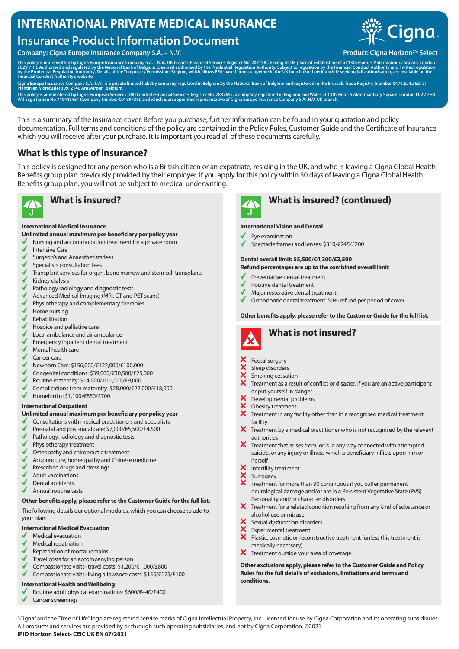# **INTERNATIONAL PRIVATE MEDICAL INSURANCE**

# **Insurance Product Information Document**

## Company: Cigna Europe Insurance Company S.A. − N.V. **Product: Cigna Horizon<sup>SM</sup> Select**



This policy is underwritten by Cigna Europe Insurance Company S.A. – N.V., UK branch (Financial Services Register No. 207198), having its UK place of establishment at 13th Floor, 5 Aldermanbury Square, London<br>EC2V 7HR. Aut

Cigna Europe Insurance Company S.A.-N.V., is a private limited liability company regulated in Belgium by the National Bank of Belgium and registered in the Brussels Trade Registry (number 0474.624.562) at<br>Plantin en Moretu

This policy is administered by Cigna European Services (UK) Limited (Financial Services Register No. 788765) , a company registered in England and Wales at 13th Floor, 5 Aldermanbury Square, London EC2V 7HR.<br>VAT registrati

This is a summary of the insurance cover. Before you purchase, further information can be found in your quotation and policy documentation. Full terms and conditions of the policy are contained in the Policy Rules, Customer Guide and the Certificate of Insurance which you will receive after your purchase. It is important you read all of these documents carefully.

# **What is this type of insurance?**

This policy is designed for any person who is a British citizen or an expatriate, residing in the UK, and who is leaving a Cigna Global Health Benefits group plan previously provided by their employer. If you apply for this policy within 30 days of leaving a Cigna Global Health Benefits group plan, you will not be subject to medical underwriting.



#### **International Medical Insurance**

**Unlimited annual maximum per beneficiary per policy year**

- Nursing and accommodation treatment for a private room
- Intensive Care
- Surgeon's and Anaesthetists fees
- Specialists consultation fees
- Transplant services for organ, bone marrow and stem cell transplants
- Kidney dialysis
- Pathology radiology and diagnostic tests
- Advanced Medical Imaging (MRI, CT and PET scans)
- Physiotherapy and complementary therapies
- Home nursing
- Rehabilitation
- Hospice and palliative care
- Local ambulance and air ambulance
- Emergency inpatient dental treatment
- Mental health care
- Cancer care
- Newborn Care: \$156,000/€122,000/£100,000
- Congenital conditions: \$39,000/€30,500/£25,000
- Routine maternity: \$14,000/ €11,000/£9,000
- Complications from maternity: \$28,000/€22,000/£18,000
- $\checkmark$ Homebirths: \$1,100/€850/£700

#### **International Outpatient**

## **Unlimited annual maximum per beneficiary per policy year**

- Consultations with medical practitioners and specialists
- Pre-natal and post-natal care: \$7,000/€5,500/£4,500
- Pathology, radiology and diagnostic tests
- Physiotherapy treatment
- Osteopathy and chiropractic treatment
- Acupuncture, homeopathy and Chinese medicine
- Prescribed drugs and dressings
- Adult vaccinations
- Dental accidents
- Annual routine tests

### **Other benefits apply, please refer to the Customer Guide for the full list.**

The following details our optional modules, which you can choose to add to your plan:

#### **International Medical Evacuation**

- Medical evacuation
- Medical repatriation
- Repatriation of mortal remains
- Travel costs for an accompanying person
- Compassionate visits- travel costs: \$1,200/€1,000/£800
- Compassionate visits- living allowance costs: \$155/€125/£100

#### **International Health and Wellbeing**

- Routine adult physical examinations: \$600/€440/£400
- Cancer screenings

# **What is insured? What is insured? (continued)**

#### **International Vision and Dental**

- Eye examination
- Spectacle frames and lenses: \$310/€245/£200

## **Dental overall limit: \$5,500/€4,300/£3,500**

- **Refund percentages are up to the combined overall limit**
- Preventative dental treatment
- Routine dental treatment
- Major restorative dental treatment
- Orthodontic dental treatment: 50% refund per period of cover

#### **Other benefits apply, please refer to the Customer Guide for the full list.**



# **What is not insured?**

- $\mathsf{\times}$  Foetal surgery
- Sleep disorders
- Smoking cessation
- Treatment as a result of conflict or disaster, if you are an active participant or put yourself in danger
- $\begin{array}{ll}\n\text{X} & \text{Developmental problems} \\
\text{X} & \text{Observitvariant problems}\n\end{array}$
- Obesity treatment
- $\overline{\mathsf{X}}$  Treatment in any facility other than in a recognised medical treatment facility
- $\boldsymbol{\times}$  Treatment by a medical practitioner who is not recognised by the relevant authorities
- $\boldsymbol{X}$  Treatment that arises from, or is in any way connected with attempted suicide, or any injury or illness which a beneficiary inflicts upon him or herself
- $X$  Infertility treatment
- Surrogacy
- X Treatment for more than 90 continuous if you suffer permanent neurological damage and/or are in a Persistent Vegetative State (PVS) Personality and/or character disorders
- X Treatment for a related condition resulting from any kind of substance or alcohol use or misuse
- $\mathsf{\times}$  Sexual dysfunction disorders<br> $\mathsf{\times}$  Experimental treatment
- Experimental treatment
- $\mathbf{\hat{x}}$ Plastic, cosmetic or reconstructive treatment (unless this treatment is medically necessary)
- X Treatment outside your area of coverage.

**Other exclusions apply, please refer to the Customer Guide and Policy Rules for the full details of exclusions, limitations and terms and conditions.**

"Cigna" and the "Tree of Life" logo are registered service marks of Cigna Intellectual Property, Inc., licensed for use by Cigna Corporation and its operating subsidiaries. All products and services are provided by or through such operating subsidiaries, and not by Cigna Corporation. ©2021 **IPID Horizon Select- CEIC UK EN 07/2021**